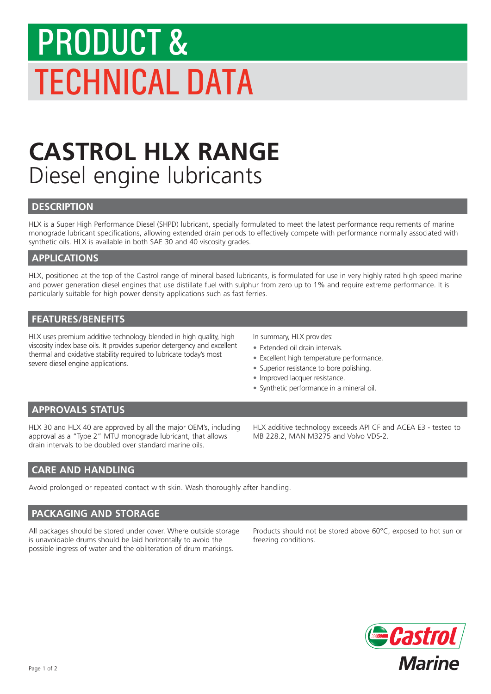# PRODUCT & TECHNICAL DATA

## **CASTROL HLX RANGE** Diesel engine lubricants

#### **DESCRIPTION**

HLX is a Super High Performance Diesel (SHPD) lubricant, specially formulated to meet the latest performance requirements of marine monograde lubricant specifications, allowing extended drain periods to effectively compete with performance normally associated with synthetic oils. HLX is available in both SAE 30 and 40 viscosity grades.

#### **APPLICATIONS**

HLX, positioned at the top of the Castrol range of mineral based lubricants, is formulated for use in very highly rated high speed marine and power generation diesel engines that use distillate fuel with sulphur from zero up to 1% and require extreme performance. It is particularly suitable for high power density applications such as fast ferries.

#### **FEATURES/BENEFITS**

HLX uses premium additive technology blended in high quality, high viscosity index base oils. It provides superior detergency and excellent thermal and oxidative stability required to lubricate today's most severe diesel engine applications.

In summary, HLX provides:

- Extended oil drain intervals.
- Excellent high temperature performance.
- Superior resistance to bore polishing.
- Improved lacquer resistance.
- Synthetic performance in a mineral oil.

#### **APPROVALS STATUS**

HLX 30 and HLX 40 are approved by all the major OEM's, including approval as a "Type 2" MTU monograde lubricant, that allows drain intervals to be doubled over standard marine oils.

HLX additive technology exceeds API CF and ACEA E3 - tested to MB 228.2, MAN M3275 and Volvo VDS-2.

#### **CARE AND HANDLING**

Avoid prolonged or repeated contact with skin. Wash thoroughly after handling.

#### **PACKAGING AND STORAGE**

All packages should be stored under cover. Where outside storage is unavoidable drums should be laid horizontally to avoid the possible ingress of water and the obliteration of drum markings.

Products should not be stored above 60°C, exposed to hot sun or freezing conditions.